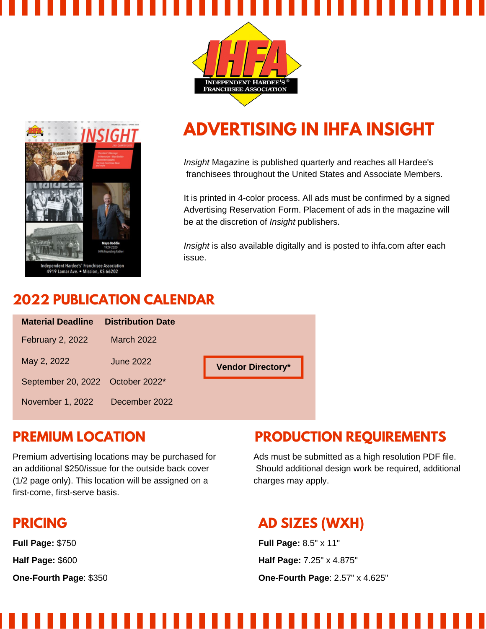



## **ADVERTISING IN IHFA INSIGHT**

*Insight* Magazine is published quarterly and reaches all Hardee's franchisees throughout the United States and Associate Members.

It is printed in 4-color process. All ads must be confirmed by a signed Advertising Reservation Form. Placement of ads in the magazine will be at the discretion of *Insight* publishers.

*Insight* is also available digitally and is posted to ihfa.com after each issue.

### **2022 PUBLICATION CALENDAR**

| <b>Material Deadline</b>         | <b>Distribution Date</b> |                          |
|----------------------------------|--------------------------|--------------------------|
| <b>February 2, 2022</b>          | <b>March 2022</b>        |                          |
| May 2, 2022                      | June 2022                | <b>Vendor Directory*</b> |
| September 20, 2022 October 2022* |                          |                          |
| November 1, 2022                 | December 2022            |                          |

#### **PREMIUM LOCATION**

Premium advertising locations may be purchased for an additional \$250/issue for the outside back cover (1/2 page only). This location will be assigned on a first-come, first-serve basis.

## **PRICING**

**Full Page:** \$750

**Half Page:** \$600

**One-Fourth Page**: \$350

## **PRODUCTION REQUIREMENTS**

Ads must be submitted as a high resolution PDF file. Should additional design work be required, additional charges may apply.

## **AD SIZES (WXH)**

**Full Page:** 8.5" x 11" **Half Page:** 7.25" x 4.875" **One-Fourth Page**: 2.57" x 4.625"